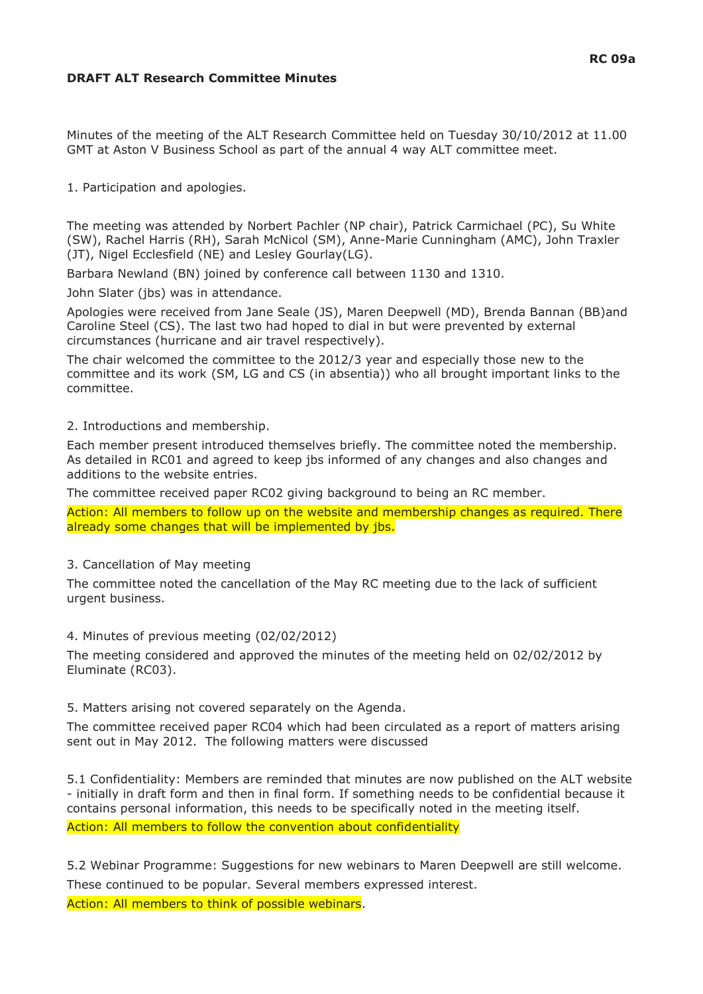## **DRAFT ALT Research Committee Minutes**

Minutes of the meeting of the ALT Research Committee held on Tuesday 30/10/2012 at 11.00 GMT at Aston V Business School as part of the annual 4 way ALT committee meet.

1. Participation and apologies.

The meeting was attended by Norbert Pachler (NP chair), Patrick Carmichael (PC), Su White (SW), Rachel Harris (RH), Sarah McNicol (SM), Anne-Marie Cunningham (AMC), John Traxler (JT), Nigel Ecclesfield (NE) and Lesley Gourlay(LG).

Barbara Newland (BN) joined by conference call between 1130 and 1310.

John Slater (jbs) was in attendance.

Apologies were received from Jane Seale (JS), Maren Deepwell (MD), Brenda Bannan (BB)and Caroline Steel (CS). The last two had hoped to dial in but were prevented by external circumstances (hurricane and air travel respectively).

The chair welcomed the committee to the 2012/3 year and especially those new to the committee and its work (SM, LG and CS (in absentia)) who all brought important links to the committee.

2. Introductions and membership.

Each member present introduced themselves briefly. The committee noted the membership. As detailed in RC01 and agreed to keep jbs informed of any changes and also changes and additions to the website entries.

The committee received paper RC02 giving background to being an RC member.

Action: All members to follow up on the website and membership changes as required. There already some changes that will be implemented by jbs.

#### 3. Cancellation of May meeting

The committee noted the cancellation of the May RC meeting due to the lack of sufficient urgent business.

4. Minutes of previous meeting (02/02/2012)

The meeting considered and approved the minutes of the meeting held on 02/02/2012 by Eluminate (RC03).

5. Matters arising not covered separately on the Agenda.

The committee received paper RC04 which had been circulated as a report of matters arising sent out in May 2012. The following matters were discussed

5.1 Confidentiality: Members are reminded that minutes are now published on the ALT website - initially in draft form and then in final form. If something needs to be confidential because it contains personal information, this needs to be specifically noted in the meeting itself. Action: All members to follow the convention about confidentiality

5.2 Webinar Programme: Suggestions for new webinars to Maren Deepwell are still welcome. These continued to be popular. Several members expressed interest.

Action: All members to think of possible webinars.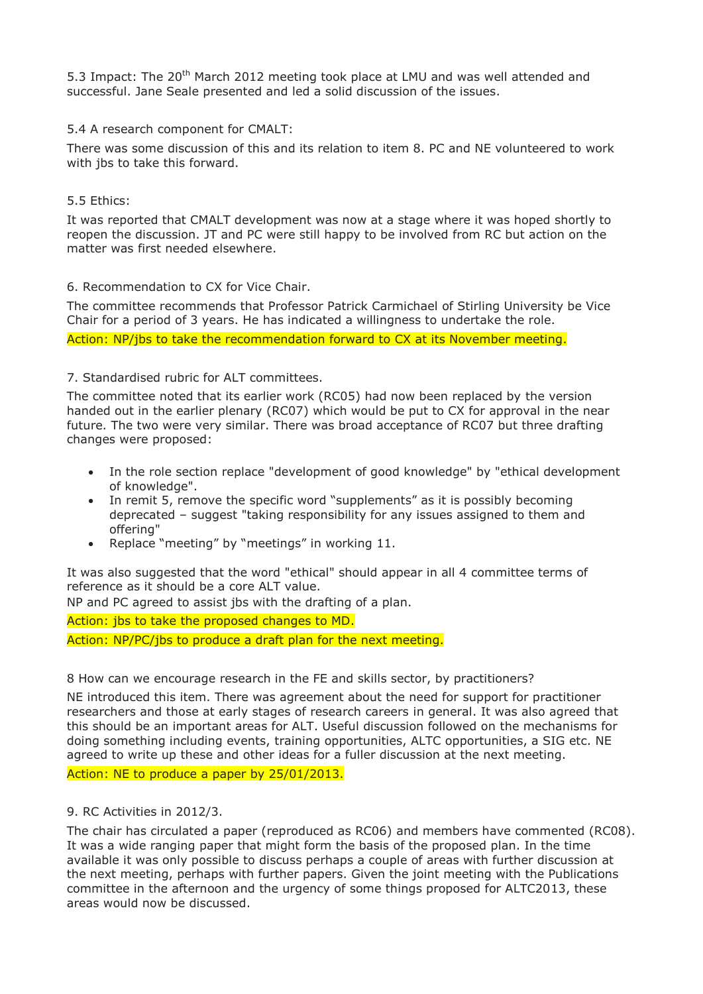5.3 Impact: The  $20<sup>th</sup>$  March 2012 meeting took place at LMU and was well attended and successful. Jane Seale presented and led a solid discussion of the issues.

#### 5.4 A research component for CMALT:

There was some discussion of this and its relation to item 8. PC and NE volunteered to work with jbs to take this forward.

#### 5.5 Ethics:

It was reported that CMALT development was now at a stage where it was hoped shortly to reopen the discussion. JT and PC were still happy to be involved from RC but action on the matter was first needed elsewhere.

#### 6. Recommendation to CX for Vice Chair.

The committee recommends that Professor Patrick Carmichael of Stirling University be Vice Chair for a period of 3 years. He has indicated a willingness to undertake the role. Action: NP/jbs to take the recommendation forward to CX at its November meeting.

#### 7. Standardised rubric for ALT committees.

The committee noted that its earlier work (RC05) had now been replaced by the version handed out in the earlier plenary (RC07) which would be put to CX for approval in the near future. The two were very similar. There was broad acceptance of RC07 but three drafting changes were proposed:

- In the role section replace "development of good knowledge" by "ethical development of knowledge".
- In remit 5, remove the specific word "supplements" as it is possibly becoming deprecated – suggest "taking responsibility for any issues assigned to them and offering"
- Replace "meeting" by "meetings" in working 11.

It was also suggested that the word "ethical" should appear in all 4 committee terms of reference as it should be a core ALT value.

NP and PC agreed to assist jbs with the drafting of a plan.

Action: jbs to take the proposed changes to MD. Action: NP/PC/jbs to produce a draft plan for the next meeting.

8 How can we encourage research in the FE and skills sector, by practitioners?

NE introduced this item. There was agreement about the need for support for practitioner researchers and those at early stages of research careers in general. It was also agreed that this should be an important areas for ALT. Useful discussion followed on the mechanisms for doing something including events, training opportunities, ALTC opportunities, a SIG etc. NE agreed to write up these and other ideas for a fuller discussion at the next meeting. Action: NE to produce a paper by 25/01/2013.

9. RC Activities in 2012/3.

The chair has circulated a paper (reproduced as RC06) and members have commented (RC08). It was a wide ranging paper that might form the basis of the proposed plan. In the time available it was only possible to discuss perhaps a couple of areas with further discussion at the next meeting, perhaps with further papers. Given the joint meeting with the Publications committee in the afternoon and the urgency of some things proposed for ALTC2013, these areas would now be discussed.